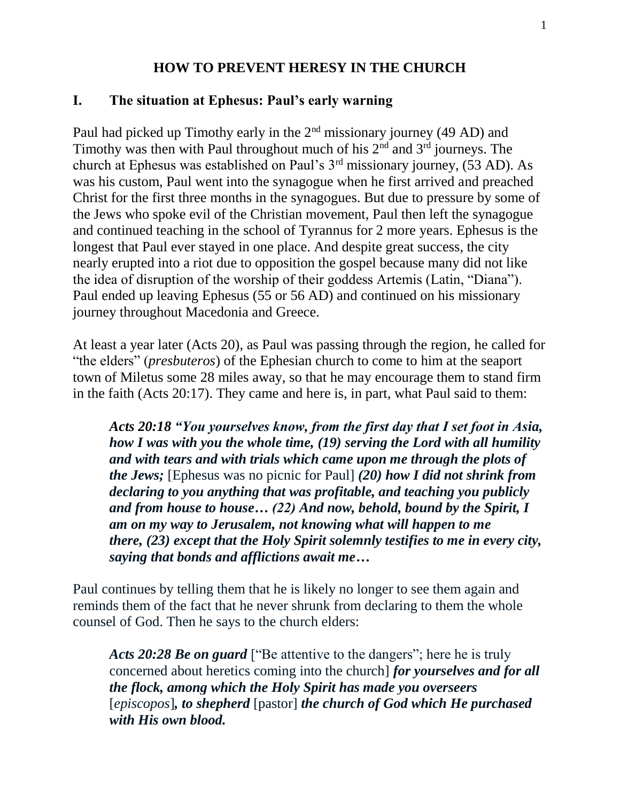#### **HOW TO PREVENT HERESY IN THE CHURCH**

#### **I. The situation at Ephesus: Paul's early warning**

Paul had picked up Timothy early in the 2<sup>nd</sup> missionary journey (49 AD) and Timothy was then with Paul throughout much of his  $2<sup>nd</sup>$  and  $3<sup>rd</sup>$  journeys. The church at Ephesus was established on Paul's 3rd missionary journey, (53 AD). As was his custom, Paul went into the synagogue when he first arrived and preached Christ for the first three months in the synagogues. But due to pressure by some of the Jews who spoke evil of the Christian movement, Paul then left the synagogue and continued teaching in the school of Tyrannus for 2 more years. Ephesus is the longest that Paul ever stayed in one place. And despite great success, the city nearly erupted into a riot due to opposition the gospel because many did not like the idea of disruption of the worship of their goddess Artemis (Latin, "Diana"). Paul ended up leaving Ephesus (55 or 56 AD) and continued on his missionary journey throughout Macedonia and Greece.

At least a year later (Acts 20), as Paul was passing through the region, he called for "the elders" (*presbuteros*) of the Ephesian church to come to him at the seaport town of Miletus some 28 miles away, so that he may encourage them to stand firm in the faith (Acts 20:17). They came and here is, in part, what Paul said to them:

*Acts 20:18 "You yourselves know, from the first day that I set foot in Asia, how I was with you the whole time, (19) serving the Lord with all humility and with tears and with trials which came upon me through the plots of the Jews;* [Ephesus was no picnic for Paul] *(20) how I did not shrink from declaring to you anything that was profitable, and teaching you publicly and from house to house… (22) And now, behold, bound by the Spirit, I am on my way to Jerusalem, not knowing what will happen to me there, (23) except that the Holy Spirit solemnly testifies to me in every city, saying that bonds and afflictions await me…*

Paul continues by telling them that he is likely no longer to see them again and reminds them of the fact that he never shrunk from declaring to them the whole counsel of God. Then he says to the church elders:

*Acts 20:28 Be on guard* ["Be attentive to the dangers"; here he is truly concerned about heretics coming into the church] *for yourselves and for all the flock, among which the Holy Spirit has made you overseers* [*episcopos*]*, to shepherd* [pastor] *the church of God which He purchased with His own blood.*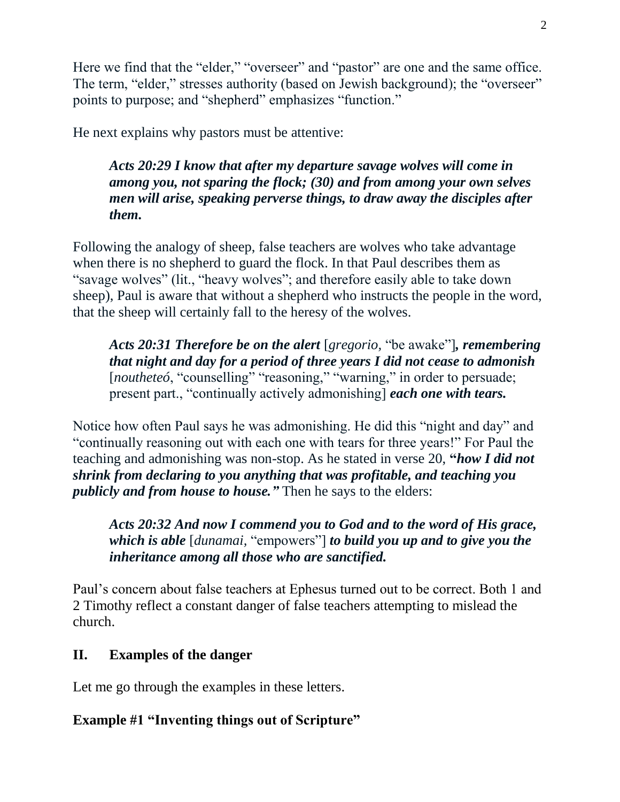Here we find that the "elder," "overseer" and "pastor" are one and the same office. The term, "elder," stresses authority (based on Jewish background); the "overseer" points to purpose; and "shepherd" emphasizes "function."

He next explains why pastors must be attentive:

*Acts 20:29 I know that after my departure savage wolves will come in among you, not sparing the flock; (30) and from among your own selves men will arise, speaking perverse things, to draw away the disciples after them.*

Following the analogy of sheep, false teachers are wolves who take advantage when there is no shepherd to guard the flock. In that Paul describes them as "savage wolves" (lit., "heavy wolves"; and therefore easily able to take down sheep), Paul is aware that without a shepherd who instructs the people in the word, that the sheep will certainly fall to the heresy of the wolves.

*Acts 20:31 Therefore be on the alert* [*gregorio,* "be awake"]*, remembering that night and day for a period of three years I did not cease to admonish* [*noutheteó*, "counselling" "reasoning," "warning," in order to persuade; present part., "continually actively admonishing] *each one with tears.*

Notice how often Paul says he was admonishing. He did this "night and day" and "continually reasoning out with each one with tears for three years!" For Paul the teaching and admonishing was non-stop. As he stated in verse 20, **"***how I did not shrink from declaring to you anything that was profitable, and teaching you publicly and from house to house."* Then he says to the elders:

*Acts 20:32 And now I commend you to God and to the word of His grace, which is able* [*dunamai,* "empowers"] *to build you up and to give you the inheritance among all those who are sanctified.*

Paul's concern about false teachers at Ephesus turned out to be correct. Both 1 and 2 Timothy reflect a constant danger of false teachers attempting to mislead the church.

# **II. Examples of the danger**

Let me go through the examples in these letters.

## **Example #1 "Inventing things out of Scripture"**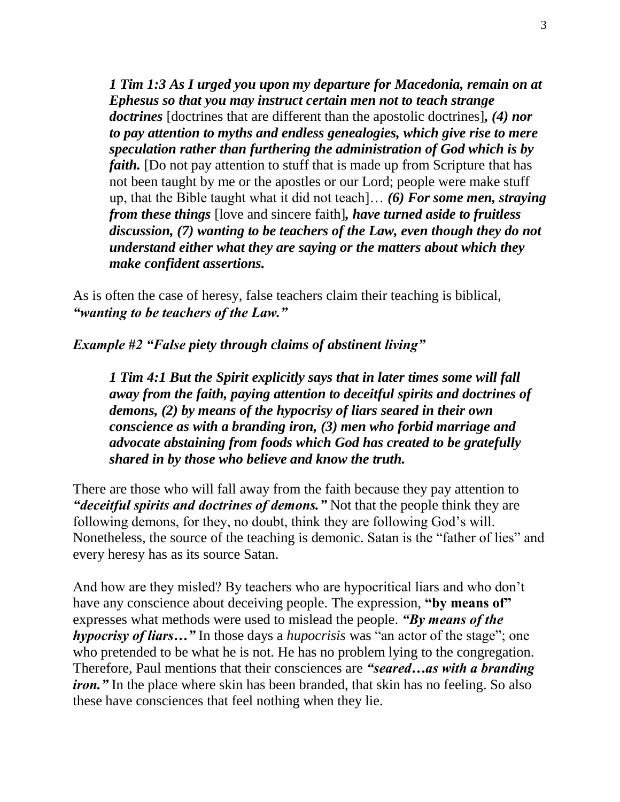*1 Tim 1:3 As I urged you upon my departure for Macedonia, remain on at Ephesus so that you may instruct certain men not to teach strange doctrines* [doctrines that are different than the apostolic doctrines]*, (4) nor to pay attention to myths and endless genealogies, which give rise to mere speculation rather than furthering the administration of God which is by faith*. [Do not pay attention to stuff that is made up from Scripture that has not been taught by me or the apostles or our Lord; people were make stuff up, that the Bible taught what it did not teach]… *(6) For some men, straying from these things* [love and sincere faith]*, have turned aside to fruitless discussion, (7) wanting to be teachers of the Law, even though they do not understand either what they are saying or the matters about which they make confident assertions.*

As is often the case of heresy, false teachers claim their teaching is biblical, *"wanting to be teachers of the Law."* 

*Example #2 "False piety through claims of abstinent living"*

*1 Tim 4:1 But the Spirit explicitly says that in later times some will fall away from the faith, paying attention to deceitful spirits and doctrines of demons, (2) by means of the hypocrisy of liars seared in their own conscience as with a branding iron, (3) men who forbid marriage and advocate abstaining from foods which God has created to be gratefully shared in by those who believe and know the truth.*

There are those who will fall away from the faith because they pay attention to *"deceitful spirits and doctrines of demons."* Not that the people think they are following demons, for they, no doubt, think they are following God's will. Nonetheless, the source of the teaching is demonic. Satan is the "father of lies" and every heresy has as its source Satan.

And how are they misled? By teachers who are hypocritical liars and who don't have any conscience about deceiving people. The expression, **"by means of"**  expresses what methods were used to mislead the people. *"By means of the hypocrisy of liars…"* In those days a *hupocrisis* was "an actor of the stage"; one who pretended to be what he is not. He has no problem lying to the congregation. Therefore, Paul mentions that their consciences are *"seared…as with a branding iron.*" In the place where skin has been branded, that skin has no feeling. So also these have consciences that feel nothing when they lie.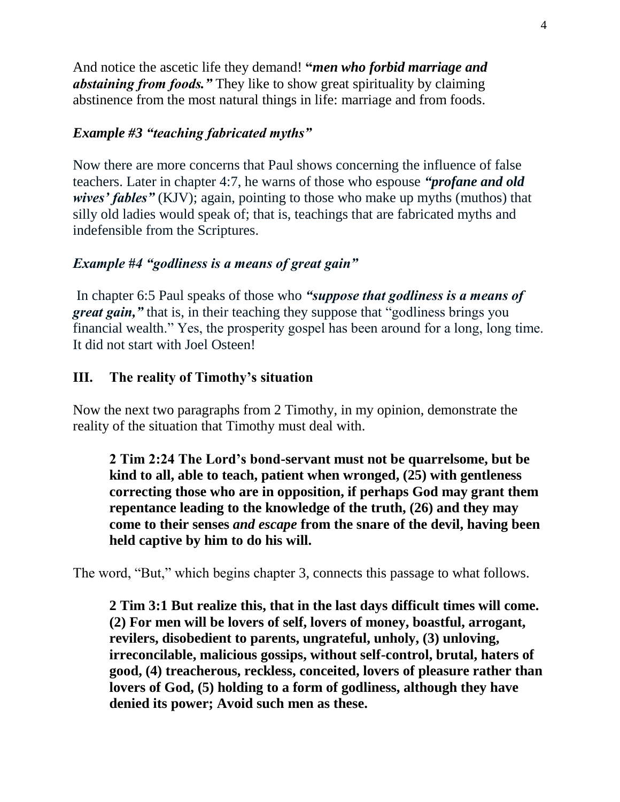And notice the ascetic life they demand! **"***men who forbid marriage and abstaining from foods."* They like to show great spirituality by claiming abstinence from the most natural things in life: marriage and from foods.

#### *Example #3 "teaching fabricated myths"*

Now there are more concerns that Paul shows concerning the influence of false teachers. Later in chapter 4:7, he warns of those who espouse *"profane and old wives' fables"* (KJV); again, pointing to those who make up myths (muthos) that silly old ladies would speak of; that is, teachings that are fabricated myths and indefensible from the Scriptures.

#### *Example #4 "godliness is a means of great gain"*

In chapter 6:5 Paul speaks of those who *"suppose that godliness is a means of great gain*," that is, in their teaching they suppose that "godliness brings you financial wealth." Yes, the prosperity gospel has been around for a long, long time. It did not start with Joel Osteen!

#### **III. The reality of Timothy's situation**

Now the next two paragraphs from 2 Timothy, in my opinion, demonstrate the reality of the situation that Timothy must deal with.

**2 Tim 2:24 The Lord's bond-servant must not be quarrelsome, but be kind to all, able to teach, patient when wronged, (25) with gentleness correcting those who are in opposition, if perhaps God may grant them repentance leading to the knowledge of the truth, (26) and they may come to their senses** *and escape* **from the snare of the devil, having been held captive by him to do his will.**

The word, "But," which begins chapter 3, connects this passage to what follows.

**2 Tim 3:1 But realize this, that in the last days difficult times will come. (2) For men will be lovers of self, lovers of money, boastful, arrogant, revilers, disobedient to parents, ungrateful, unholy, (3) unloving, irreconcilable, malicious gossips, without self-control, brutal, haters of good, (4) treacherous, reckless, conceited, lovers of pleasure rather than lovers of God, (5) holding to a form of godliness, although they have denied its power; Avoid such men as these.**